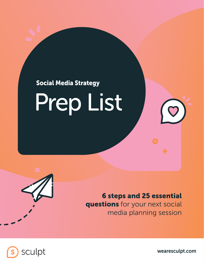

6 steps and 25 essential questions for your next social media planning session





wearesculpt.com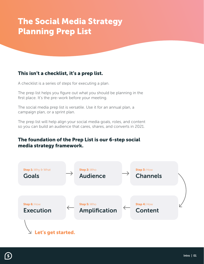## The Social Media Strategy Planning Prep List

## This isn't a checklist, it's a prep list.

A checklist is a series of steps for executing a plan.

The prep list helps you figure out what you should be planning in the first place. It's the pre-work before your meeting.

The social media prep list is versatile. Use it for an annual plan, a campaign plan, or a sprint plan.

The prep list will help align your social media goals, roles, and content so you can build an audience that cares, shares, and converts in 2021.

### The foundation of the Prep List is our 6-step social media strategy framework.

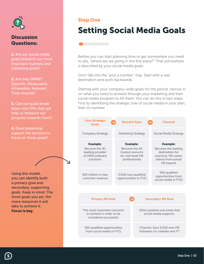

1. Are our social media goals linked to our most important business and marketing goals?

2. Are they SMART (Specific, Measurable, Achievable, Relevant, Time-bound)?

**3.** Can our goals break down into KPIs that will help us measure our progress towards them?

4. Does leadership support the decision to focus on these goals?

Using this model, you can identify both a primary goal and secondary, supporting goals. Keep in mind: The more goals you set, the more resources it will take to achieve it. Focus is key.

#### Step One

# Setting Social Media Goals

Before you can start planning how to get somewhere you need to ask, "where are we going in the first place?" That somewhere is described by your social media goals.

Don't fall into the "pick a number" trap. Start with a real destination and work backwards.

Starting with your company-wide goals for the period, narrow in on what you need to achieve through your marketing and then social media program to hit them. You can do this in two steps: First by identifying the strategic role of social media in your plan, then its number.

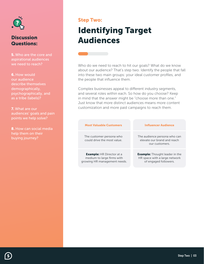

5. Who are the core and aspirational audiences we need to reach?

6. How would our audience describe themselves demographically, psychographically, and as a tribe (labels)?

7. What are our audiences' goals and pain points we help solve?

8. How can social media help them on their buying journey?

#### Step Two:

# Identifying Target Audiences

Who do we need to reach to hit our goals? What do we know about our audience? That's step two. Identify the people that fall into these two main groups: your ideal customer profiles, and the people that influence them.

Complex businesses appeal to different industry segments, and several roles within each. So how do you choose? Keep in mind that the answer might be "choose more than one." Just know that more distinct audiences means more content customization and more paid campaigns to reach them.

| <b>Most Valuable Customers</b>                                                                 | <b>Influencer Audience</b>                                                                      |
|------------------------------------------------------------------------------------------------|-------------------------------------------------------------------------------------------------|
| The customer persona who<br>could drive the most value.                                        | The audience persona who can<br>elevate our brand and reach<br>our customers.                   |
| <b>Example:</b> HR Director at a<br>medium to large firms with<br>growing HR management needs. | <b>Example:</b> Thought leader in the<br>HR space with a large network<br>of engaged followers. |

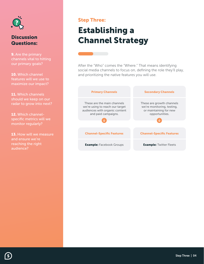

**9.** Are the primary channels vital to hitting our primary goals?

10. Which channel features will we use to maximize our impact?

11. Which channels should we keep on our radar to grow into next?

12. Which channelspecific metrics will we monitor regularly?

13. How will we measure and ensure we're reaching the right audience?

#### Step Three:

# Establishing a Channel Strategy

After the "Who" comes the "Where." That means identifying social media channels to focus on, defining the role they'll play, and prioritizing the native features you will use.



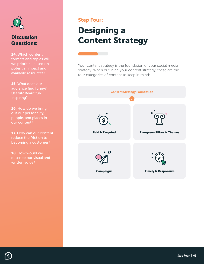

14. Which content formats and topics will we prioritize based on potential impact and available resources?

15. What does our audience find funny? Useful? Beautiful? Inspiring?

16. How do we bring out our personality, people, and places in our content?

17. How can our content reduce the friction to becoming a customer?

18. How would we describe our visual and written voice?

#### Step Four:

# Designing a Content Strategy

Your content strategy is the foundation of your social media strategy. When outlining your content strategy, these are the four categories of content to keep in mind:



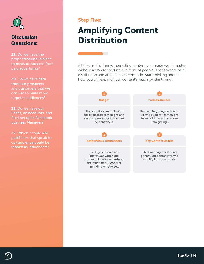

19. Do we have the proper tracking in place to measure success from paid advertising?

20. Do we have data from our prospects and customers that we can use to build more targeted audiences?

21. Do we have our Pages, ad accounts, and Pixel set up in Facebook Business Manager?

22. Which people and publishers that speak to our audience could be tapped as influencers?

#### Step Five:

# Amplifying Content **Distribution**

All that useful, funny, interesting content you made won't matter without a plan for getting it in front of people. That's where paid distribution and amplification comes in. Start thinking about how you will expand your content's reach by identifying:



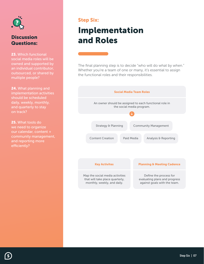

23. Which functional social media roles will be owned and supported by an individual contributor, outsourced, or shared by multiple people?

24. What planning and implementation activities should be scheduled daily, weekly, monthly, and quarterly to stay on track?

25. What tools do we need to organize our calendar, content + community management, and reporting more efficiently?

### Step Six:

# Implementation and Roles

The final planning step is to decide "who will do what by when." Whether you're a team of one or many, it's essential to assign the functional roles and their responsibilities.